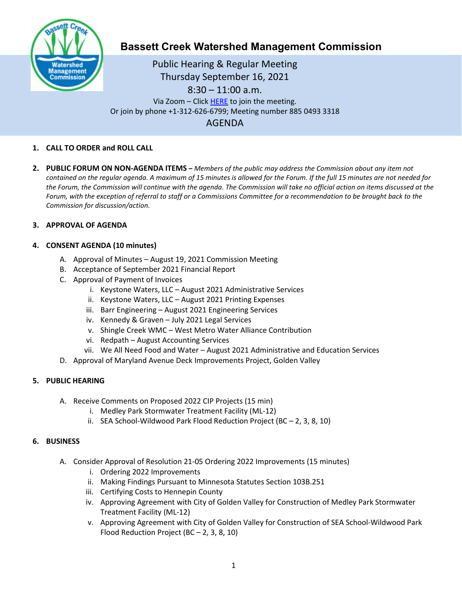

# **Bassett Creek Watershed Management Commission**

Public Hearing & Regular Meeting Thursday September 16, 2021 8:30 – 11:00 a.m. Via Zoom – Clic[k HERE](https://us02web.zoom.us/j/88504933318) to join the meeting. Or join by phone +1-312-626-6799; Meeting number 885 0493 3318 AGENDA

# **1. CALL TO ORDER and ROLL CALL**

**2. PUBLIC FORUM ON NON-AGENDA ITEMS –** *Members of the public may address the Commission about any item not contained on the regular agenda. A maximum of 15 minutes is allowed for the Forum. If the full 15 minutes are not needed for the Forum, the Commission will continue with the agenda. The Commission will take no official action on items discussed at the Forum, with the exception of referral to staff or a Commissions Committee for a recommendation to be brought back to the Commission for discussion/action.*

# **3. APPROVAL OF AGENDA**

# **4. CONSENT AGENDA (10 minutes)**

- A. Approval of Minutes August 19, 2021 Commission Meeting
- B. Acceptance of September 2021 Financial Report
- C. Approval of Payment of Invoices
	- i. Keystone Waters, LLC August 2021 Administrative Services
	- ii. Keystone Waters, LLC August 2021 Printing Expenses
	- iii. Barr Engineering August 2021 Engineering Services
	- iv. Kennedy & Graven July 2021 Legal Services
	- v. Shingle Creek WMC West Metro Water Alliance Contribution
	- vi. Redpath August Accounting Services
	- vii. We All Need Food and Water August 2021 Administrative and Education Services
- D. Approval of Maryland Avenue Deck Improvements Project, Golden Valley

# **5. PUBLIC HEARING**

- A. Receive Comments on Proposed 2022 CIP Projects (15 min)
	- i. Medley Park Stormwater Treatment Facility (ML-12)
	- ii. SEA School-Wildwood Park Flood Reduction Project (BC 2, 3, 8, 10)

# **6. BUSINESS**

- A. Consider Approval of Resolution 21-05 Ordering 2022 Improvements (15 minutes)
	- i. Ordering 2022 Improvements
	- ii. Making Findings Pursuant to Minnesota Statutes Section 103B.251
	- iii. Certifying Costs to Hennepin County
	- iv. Approving Agreement with City of Golden Valley for Construction of Medley Park Stormwater Treatment Facility (ML-12)
	- v. Approving Agreement with City of Golden Valley for Construction of SEA School-Wildwood Park Flood Reduction Project (BC – 2, 3, 8, 10)